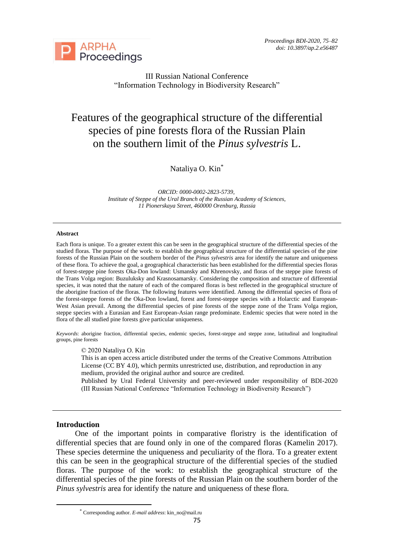

III Russian National Conference "Information Technology in Biodiversity Research"

# Features of the geographical structure of the differential species of pine forests flora of the Russian Plain on the southern limit of the *Pinus sylvestris* L.

Nataliya O. Kin\*

*ORCID: 0000-0002-2823-5739, Institute of Steppe of the Ural Branch of the Russian Academy of Sciences, 11 Pionerskaya Street, 460000 Orenburg, Russia*

#### **Abstract**

Each flora is unique. To a greater extent this can be seen in the geographical structure of the differential species of the studied floras. The purpose of the work: to establish the geographical structure of the differential species of the pine forests of the Russian Plain on the southern border of the *Pinus sylvestris* area for identify the nature and uniqueness of these flora. To achieve the goal, a geographical characteristic has been established for the differential species floras of forest-steppe pine forests Oka-Don lowland: Usmansky and Khrenovsky, and floras of the steppe pine forests of the Trans Volga region: Buzuluksky and Krasnosamarsky. Considering the composition and structure of differential species, it was noted that the nature of each of the compared floras is best reflected in the geographical structure of the aborigine fraction of the floras. The following features were identified. Among the differential species of flora of the forest-steppe forests of the Oka-Don lowland, forest and forest-steppe species with a Holarctic and European-West Asian prevail. Among the differential species of pine forests of the steppe zone of the Trans Volga region, steppe species with a Eurasian and East European-Asian range predominate. Endemic species that were noted in the flora of the all studied pine forests give particular uniqueness.

*Keywords*: aborigine fraction, differential species, endemic species, forest-steppe and steppe zone, latitudinal and longitudinal groups, pine forests

#### © 2020 Nataliya O. Kin

This is an open access article distributed under the terms of the Creative Commons Attribution License (CC BY 4.0), which permits unrestricted use, distribution, and reproduction in any medium, provided the original author and source are credited.

Published by Ural Federal University and peer-reviewed under responsibility of BDI-2020 (III Russian National Conference "Information Technology in Biodiversity Research")

#### **Introduction**

One of the important points in comparative floristry is the identification of differential species that are found only in one of the compared floras (Kamelin 2017). These species determine the uniqueness and peculiarity of the flora. To a greater extent this can be seen in the geographical structure of the differential species of the studied floras. The purpose of the work: to establish the geographical structure of the differential species of the pine forests of the Russian Plain on the southern border of the *Pinus sylvestris* area for identify the nature and uniqueness of these flora.

<sup>\*</sup> Corresponding author. *E-mail address*[: kin\\_no@mail.ru](mailto:kin_no@mail.ru)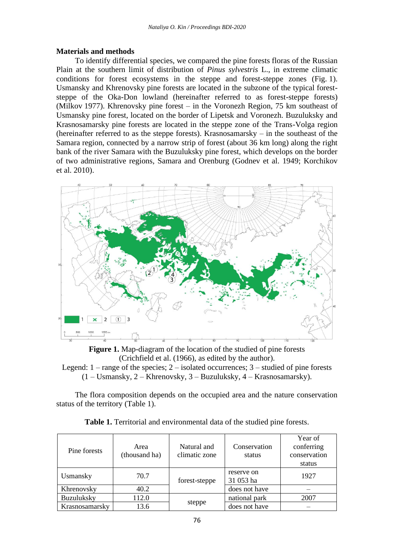# **Materials and methods**

To identify differential species, we compared the pine forests floras of the Russian Plain at the southern limit of distribution of *Pinus sylvestris* L., in extreme climatic conditions for forest ecosystems in the steppe and forest-steppe zones (Fig. 1). Usmansky and Khrenovsky pine forests are located in the subzone of the typical foreststeppe of the Oka-Don lowland (hereinafter referred to as forest-steppe forests) (Milkov 1977). Khrenovsky pine forest – in the Voronezh Region, 75 km southeast of Usmansky pine forest, located on the border of Lipetsk and Voronezh. Buzuluksky and Krasnosamarsky pine forests are located in the steppe zone of the Trans-Volga region (hereinafter referred to as the steppe forests). Krasnosamarsky – in the southeast of the Samara region, connected by a narrow strip of forest (about 36 km long) along the right bank of the river Samara with the Buzuluksky pine forest, which develops on the border of two administrative regions, Samara and Orenburg (Godnev et al. 1949; Korchikov et al. 2010).



**Figure 1.** Map-diagram of the location of the studied of pine forests (Crichfield et al. (1966), as edited by the author). Legend:  $1$  – range of the species;  $2$  – isolated occurrences;  $3$  – studied of pine forests

(1 – Usmansky, 2 – Khrenovsky, 3 – Buzuluksky, 4 – Krasnosamarsky).

The flora composition depends on the occupied area and the nature conservation status of the territory (Table 1).

| Pine forests   | Area<br>(thousand ha) | Natural and<br>climatic zone | Conservation<br>status  | Year of<br>conferring<br>conservation<br>status |
|----------------|-----------------------|------------------------------|-------------------------|-------------------------------------------------|
| Usmansky       | 70.7                  | forest-steppe                | reserve on<br>31 053 ha | 1927                                            |
| Khrenovsky     | 40.2                  |                              | does not have           |                                                 |
| Buzuluksky     | 112.0                 | steppe                       | national park           | 2007                                            |
| Krasnosamarsky | 13.6                  |                              | does not have           |                                                 |

**Table 1.** Territorial and environmental data of the studied pine forests.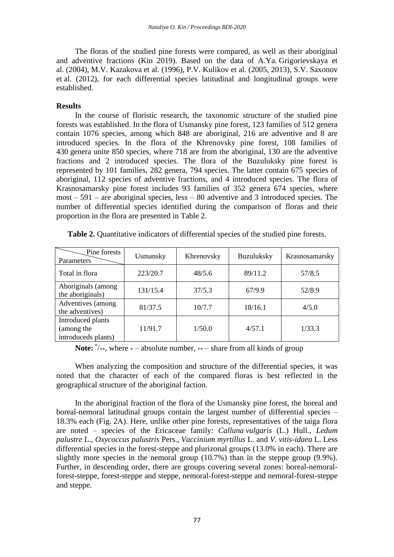The floras of the studied pine forests were compared, as well as their aboriginal and adventive fractions (Kin 2019). Based on the data of A.Ya. Grigorievskaya et al. (2004), M.V. Kazakova et al. (1996), P.V. Kulikov et al. (2005, 2013), S.V. Saxonov et al. (2012), for each differential species latitudinal and longitudinal groups were established.

## **Results**

In the course of floristic research, the taxonomic structure of the studied pine forests was established. In the flora of Usmansky pine forest, 123 families of 512 genera contain 1076 species, among which 848 are aboriginal, 216 are adventive and 8 are introduced species. In the flora of the Khrenovsky pine forest, 108 families of 430 genera unite 850 species, where 718 are from the aboriginal, 130 are the adventive fractions and 2 introduced species. The flora of the Buzuluksky pine forest is represented by 101 families, 282 genera, 794 species. The latter contain 675 species of aboriginal, 112 species of adventive fractions, and 4 introduced species. The flora of Krasnosamarsky pine forest includes 93 families of 352 genera 674 species, where most – 591 – are aboriginal species, less – 80 adventive and 3 introduced species. The number of differential species identified during the comparison of floras and their proportion in the flora are presented in Table 2.

| Pine forests<br>Parameters                             | Usmansky | Khrenovsky | <b>Buzuluksky</b> | Krasnosamarsky |
|--------------------------------------------------------|----------|------------|-------------------|----------------|
| Total in flora                                         | 223/20.7 | 48/5.6     | 89/11.2           | 57/8.5         |
| Aboriginals (among<br>the aboriginals)                 | 131/15.4 | 37/5.3     | 67/9.9            | 52/8.9         |
| Adventives (among<br>the adventives)                   | 81/37.5  | 10/7.7     | 18/16.1           | 4/5.0          |
| Introduced plants<br>(among the<br>introduceds plants) | 11/91.7  | 1/50.0     | 4/57.1            | 1/33.3         |

**Table 2.** Quantitative indicators of differential species of the studied pine forests.

**Note:**  $*$  /\*\*, where \* – absolute number, \*\* – share from all kinds of group

When analyzing the composition and structure of the differential species, it was noted that the character of each of the compared floras is best reflected in the geographical structure of the aboriginal faction.

In the aboriginal fraction of the flora of the Usmansky pine forest, the boreal and boreal-nemoral latitudinal groups contain the largest number of differential species – 18.3% each (Fig. 2А). Here, unlike other pine forests, representatives of the taiga flora are noted – species of the Ericaceae family: *Calluna vulgaris* (L.) Hull., *Ledum palustre* L., *Oxycoccus palustris* Pers., *Vaccinium myrtillus* L. and *V. vitis-idaea* L. Less differential species in the forest-steppe and plurizonal groups (13.0% in each). There are slightly more species in the nemoral group (10.7%) than in the steppe group (9.9%). Further, in descending order, there are groups covering several zones: boreal-nemoralforest-steppe, forest-steppe and steppe, nemoral-forest-steppe and nemoral-forest-steppe and steppe.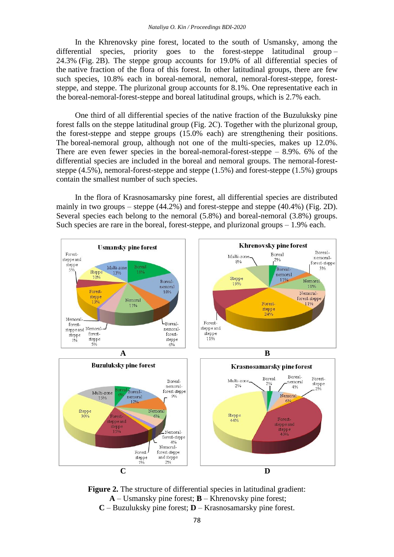In the Khrenovsky pine forest, located to the south of Usmansky, among the differential species, priority goes to the forest-steppe latitudinal group – 24.3% (Fig. 2B). The steppe group accounts for 19.0% of all differential species of the native fraction of the flora of this forest. In other latitudinal groups, there are few such species, 10.8% each in boreal-nemoral, nemoral, nemoral-forest-steppe, foreststeppe, and steppe. The plurizonal group accounts for 8.1%. One representative each in the boreal-nemoral-forest-steppe and boreal latitudinal groups, which is 2.7% each.

One third of all differential species of the native fraction of the Buzuluksky pine forest falls on the steppe latitudinal group (Fig. 2С). Together with the plurizonal group, the forest-steppe and steppe groups (15.0% each) are strengthening their positions. The boreal-nemoral group, although not one of the multi-species, makes up 12.0%. There are even fewer species in the boreal-nemoral-forest-steppe  $-8.9\%$ . 6% of the differential species are included in the boreal and nemoral groups. The nemoral-foreststeppe (4.5%), nemoral-forest-steppe and steppe (1.5%) and forest-steppe (1.5%) groups contain the smallest number of such species.

In the flora of Krasnosamarsky pine forest, all differential species are distributed mainly in two groups – steppe (44.2%) and forest-steppe and steppe (40.4%) (Fig. 2D). Several species each belong to the nemoral  $(5.8%)$  and boreal-nemoral  $(3.8%)$  groups. Such species are rare in the boreal, forest-steppe, and plurizonal groups – 1.9% each.



**Figure 2.** The structure of differential species in latitudinal gradient: **A** – Usmansky pine forest; **B** – Khrenovsky pine forest; **C** – Buzuluksky pine forest; **D** – Krasnosamarsky pine forest.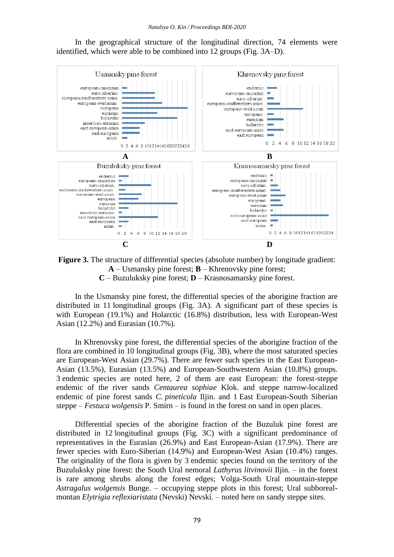In the geographical structure of the longitudinal direction, 74 elements were identified, which were able to be combined into 12 groups (Fig. 3A–D).



**Figure 3.** The structure of differential species (absolute number) by longitude gradient: **A** – Usmansky pine forest; **B** – Khrenovsky pine forest; **C** – Buzuluksky pine forest; **D** – Krasnosamarsky pine forest.

In the Usmansky pine forest, the differential species of the aborigine fraction are distributed in 11 longitudinal groups (Fig. 3A). A significant part of these species is with European (19.1%) and Holarctic (16.8%) distribution, less with European-West Asian (12.2%) and Eurasian (10.7%).

In Khrenovsky pine forest, the differential species of the aborigine fraction of the flora are combined in 10 longitudinal groups (Fig. 3B), where the most saturated species are European-West Asian (29.7%). There are fewer such species in the East European-Asian (13.5%), Eurasian (13.5%) and European-Southwestern Asian (10.8%) groups. 3 endemic species are noted here, 2 of them are east European: the forest-steppe endemic of the river sands *Centaurea sophiae* Klok. and steppe narrow-localized endemic of pine forest sands *C. pineticola* Iljin. and 1 East European-South Siberian steppe – *Festuca wolgensis* P. Smirn – is found in the forest on sand in open places.

Differential species of the aborigine fraction of the Buzuluk pine forest are distributed in 12 longitudinal groups (Fig. 3C) with a significant predominance of representatives in the Eurasian (26.9%) and East European-Asian (17.9%). There are fewer species with Euro-Siberian (14.9%) and European-West Asian (10.4%) ranges. The originality of the flora is given by 3 endemic species found on the territory of the Buzuluksky pine forest: the South Ural nemoral *Lathyrus litvinovii* Iljin. – in the forest is rare among shrubs along the forest edges; Volga-South Ural mountain-steppe *Astragalus wolgensis* Bunge. – occupying steppe plots in this forest; Ural subborealmontan *Elytrigia reflexiaristata* (Nevski) Nevski. – noted here on sandy steppe sites.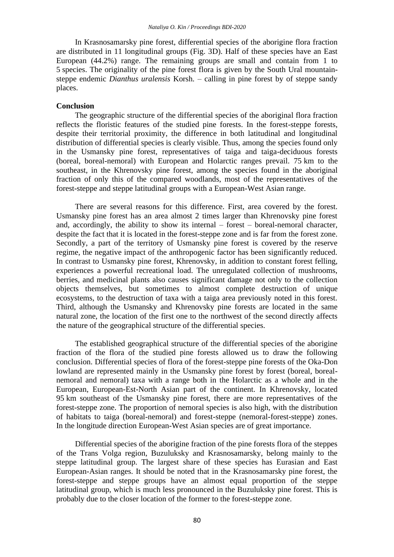In Krasnosamarsky pine forest, differential species of the aborigine flora fraction are distributed in 11 longitudinal groups (Fig. 3D). Half of these species have an East European (44.2%) range. The remaining groups are small and contain from 1 to 5 species. The originality of the pine forest flora is given by the South Ural mountainsteppe endemic *Dianthus uralensis* Korsh. – calling in pine forest by of steppe sandy places.

### **Conclusion**

The geographic structure of the differential species of the aboriginal flora fraction reflects the floristic features of the studied pine forests. In the forest-steppe forests, despite their territorial proximity, the difference in both latitudinal and longitudinal distribution of differential species is clearly visible. Thus, among the species found only in the Usmansky pine forest, representatives of taiga and taiga-deciduous forests (boreal, boreal-nemoral) with European and Holarctic ranges prevail. 75 km to the southeast, in the Khrenovsky pine forest, among the species found in the aboriginal fraction of only this of the compared woodlands, most of the representatives of the forest-steppe and steppe latitudinal groups with a European-West Asian range.

There are several reasons for this difference. First, area covered by the forest. Usmansky pine forest has an area almost 2 times larger than Khrenovsky pine forest and, accordingly, the ability to show its internal – forest – boreal-nemoral character, despite the fact that it is located in the forest-steppe zone and is far from the forest zone. Secondly, a part of the territory of Usmansky pine forest is covered by the reserve regime, the negative impact of the anthropogenic factor has been significantly reduced. In contrast to Usmansky pine forest, Khrenovsky, in addition to constant forest felling, experiences a powerful recreational load. The unregulated collection of mushrooms, berries, and medicinal plants also causes significant damage not only to the collection objects themselves, but sometimes to almost complete destruction of unique ecosystems, to the destruction of taxa with a taiga area previously noted in this forest. Third, although the Usmansky and Khrenovsky pine forests are located in the same natural zone, the location of the first one to the northwest of the second directly affects the nature of the geographical structure of the differential species.

The established geographical structure of the differential species of the aborigine fraction of the flora of the studied pine forests allowed us to draw the following conclusion. Differential species of flora of the forest-steppe pine forests of the Oka-Don lowland are represented mainly in the Usmansky pine forest by forest (boreal, borealnemoral and nemoral) taxa with a range both in the Holarctic as a whole and in the European, European-Est-North Asian part of the continent. In Khrenovsky, located 95 km southeast of the Usmansky pine forest, there are more representatives of the forest-steppe zone. The proportion of nemoral species is also high, with the distribution of habitats to taiga (boreal-nemoral) and forest-steppe (nemoral-forest-steppe) zones. In the longitude direction European-West Asian species are of great importance.

Differential species of the aborigine fraction of the pine forests flora of the steppes of the Trans Volga region, Buzuluksky and Krasnosamarsky, belong mainly to the steppe latitudinal group. The largest share of these species has Eurasian and East European-Asian ranges. It should be noted that in the Krasnosamarsky pine forest, the forest-steppe and steppe groups have an almost equal proportion of the steppe latitudinal group, which is much less pronounced in the Buzuluksky pine forest. This is probably due to the closer location of the former to the forest-steppe zone.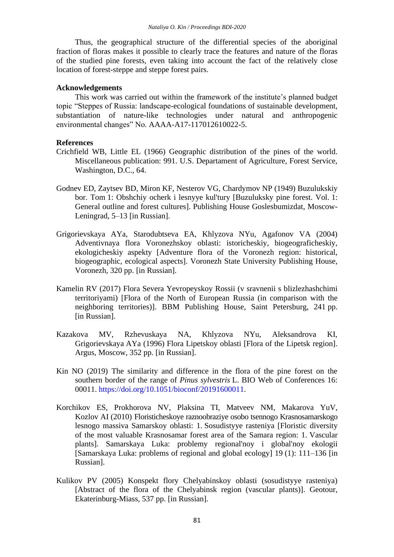Thus, the geographical structure of the differential species of the aboriginal fraction of floras makes it possible to clearly trace the features and nature of the floras of the studied pine forests, even taking into account the fact of the relatively close location of forest-steppe and steppe forest pairs.

# **Acknowledgements**

This work was carried out within the framework of the institute's planned budget topic "Steppes of Russia: landscape-ecological foundations of sustainable development, substantiation of nature-like technologies under natural and anthropogenic environmental changes" No. AAAA-A17-117012610022-5.

## **References**

- Crichfield WB, Little EL (1966) Geographic distribution of the pines of the world. Miscellaneous publication: 991. U.S. Departament of Agriculture, Forest Service, Washington, D.C., 64.
- Godnev ED, Zaytsev BD, Miron KF, Nesterov VG, Chardymov NP (1949) Buzulukskiy bor. Тom 1: Obshchiy ocherk i lesnyye kul'tury [Buzuluksky pine forest. Vol. 1: General outline and forest cultures]. Publishing House Goslesbumizdat, Moscow-Leningrad, 5–13 [in Russian].
- Grigorievskaya AYa, Starodubtseva EA, Khlyzova NYu, Agafonov VA (2004) Adventivnaya flora Voronezhskoy oblasti: istoricheskiy, biogeograficheskiy, ekologicheskiy aspekty [Adventure flora of the Voronezh region: historical, biogeographic, ecological aspects]. Voronezh State University Publishing House, Voronezh, 320 pp. [in Russian].
- Kamelin RV (2017) Flora Severa Yevropeyskoy Rossii (v sravnenii s blizlezhashchimi territoriyami) [Flora of the North of European Russia (in comparison with the neighboring territories)]. BBM Publishing House, Saint Petersburg, 241 pp. [in Russian].
- Kazakova MV, Rzhevuskaya NA, Khlyzova NYu, Aleksandrova KI, Grigorievskaya AYa (1996) Flora Lipetskoy oblasti [Flora of the Lipetsk region]. Argus, Moscow, 352 pp. [in Russian].
- Kin NO (2019) The similarity and difference in the flora of the pine forest on the southern border of the range of *Pinus sylvestris* L. BIO Web of Conferences 16: 00011. [https://doi.org/10.1051/bioconf/20191600011.](https://doi.org/10.1051/bioconf/20191600011)
- Korchikov ES, Prokhorova NV, Plaksina TI, Matveev NM, Makarova YuV, Kozlov AI (2010) Floristicheskoye raznoobraziye osobo tsennogo Krasnosamarskogo lesnogo massiva Samarskoy oblasti: 1. Sosudistyye rasteniya [Floristic diversity of the most valuable Krasnosamar forest area of the Samara region: 1. Vascular plants]. Samarskaya Luka: problemy regional'noy i global'noy ekologii [Samarskaya Luka: problems of regional and global ecology] 19 (1): 111–136 [in Russian].
- Kulikov PV (2005) Konspekt flory Chelyabinskoy oblasti (sosudistyye rasteniya) [Abstract of the flora of the Chelyabinsk region (vascular plants)]. Geotour, Ekaterinburg-Miass, 537 pp. [in Russian].